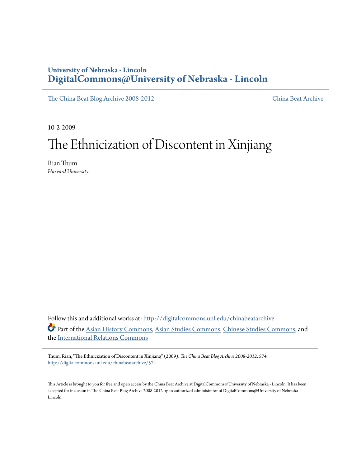## **University of Nebraska - Lincoln [DigitalCommons@University of Nebraska - Lincoln](http://digitalcommons.unl.edu?utm_source=digitalcommons.unl.edu%2Fchinabeatarchive%2F574&utm_medium=PDF&utm_campaign=PDFCoverPages)**

[The China Beat Blog Archive 2008-2012](http://digitalcommons.unl.edu/chinabeatarchive?utm_source=digitalcommons.unl.edu%2Fchinabeatarchive%2F574&utm_medium=PDF&utm_campaign=PDFCoverPages) [China Beat Archive](http://digitalcommons.unl.edu/chinabeat?utm_source=digitalcommons.unl.edu%2Fchinabeatarchive%2F574&utm_medium=PDF&utm_campaign=PDFCoverPages)

10-2-2009

## The Ethnicization of Discontent in Xinjiang

Rian Thum *Harvard University*

Follow this and additional works at: [http://digitalcommons.unl.edu/chinabeatarchive](http://digitalcommons.unl.edu/chinabeatarchive?utm_source=digitalcommons.unl.edu%2Fchinabeatarchive%2F574&utm_medium=PDF&utm_campaign=PDFCoverPages) Part of the [Asian History Commons](http://network.bepress.com/hgg/discipline/491?utm_source=digitalcommons.unl.edu%2Fchinabeatarchive%2F574&utm_medium=PDF&utm_campaign=PDFCoverPages), [Asian Studies Commons,](http://network.bepress.com/hgg/discipline/361?utm_source=digitalcommons.unl.edu%2Fchinabeatarchive%2F574&utm_medium=PDF&utm_campaign=PDFCoverPages) [Chinese Studies Commons,](http://network.bepress.com/hgg/discipline/1081?utm_source=digitalcommons.unl.edu%2Fchinabeatarchive%2F574&utm_medium=PDF&utm_campaign=PDFCoverPages) and the [International Relations Commons](http://network.bepress.com/hgg/discipline/389?utm_source=digitalcommons.unl.edu%2Fchinabeatarchive%2F574&utm_medium=PDF&utm_campaign=PDFCoverPages)

Thum, Rian, "The Ethnicization of Discontent in Xinjiang" (2009). *The China Beat Blog Archive 2008-2012*. 574. [http://digitalcommons.unl.edu/chinabeatarchive/574](http://digitalcommons.unl.edu/chinabeatarchive/574?utm_source=digitalcommons.unl.edu%2Fchinabeatarchive%2F574&utm_medium=PDF&utm_campaign=PDFCoverPages)

This Article is brought to you for free and open access by the China Beat Archive at DigitalCommons@University of Nebraska - Lincoln. It has been accepted for inclusion in The China Beat Blog Archive 2008-2012 by an authorized administrator of DigitalCommons@University of Nebraska - Lincoln.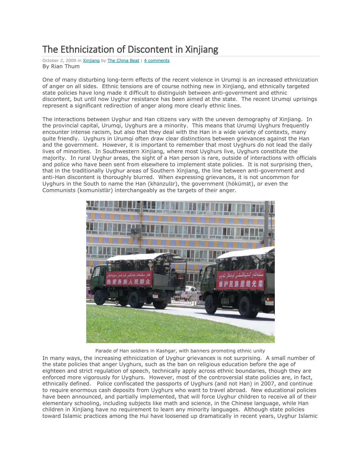## The Ethnicization of Discontent in Xinjiang

October 2, 2009 in [Xinjiang](http://www.thechinabeat.org/?cat=82) by [The China Beat](http://www.thechinabeat.org/?author=1) | [4 comments](http://www.thechinabeat.org/?p=905#comments) By Rian Thum

One of many disturbing long-term effects of the recent violence in Urumqi is an increased ethnicization of anger on all sides. Ethnic tensions are of course nothing new in Xinjiang, and ethnically targeted state policies have long made it difficult to distinguish between anti-government and ethnic discontent, but until now Uyghur resistance has been aimed at the state. The recent Urumqi uprisings represent a significant redirection of anger along more clearly ethnic lines.

The interactions between Uyghur and Han citizens vary with the uneven demography of Xinjiang. In the provincial capital, Urumqi, Uyghurs are a minority. This means that Urumqi Uyghurs frequently encounter intense racism, but also that they deal with the Han in a wide variety of contexts, many quite friendly. Uyghurs in Urumqi often draw clear distinctions between grievances against the Han and the government. However, it is important to remember that most Uyghurs do not lead the daily lives of minorities. In Southwestern Xinjiang, where most Uyghurs live, Uyghurs constitute the majority. In rural Uyghur areas, the sight of a Han person is rare, outside of interactions with officials and police who have been sent from elsewhere to implement state policies. It is not surprising then, that in the traditionally Uyghur areas of Southern Xinjiang, the line between anti-government and anti-Han discontent is thoroughly blurred. When expressing grievances, it is not uncommon for Uyghurs in the South to name the Han (khӑnzulӑr), the government (hökümӑt), or even the Communists (komunistlӑr) interchangeably as the targets of their anger.



Parade of Han soldiers in Kashgar, with banners promoting ethnic unity

In many ways, the increasing ethnicization of Uyghur grievances is not surprising. A small number of the state policies that anger Uyghurs, such as the ban on religious education before the age of eighteen and strict regulation of speech, technically apply across ethnic boundaries, though they are enforced more vigorously for Uyghurs. However, most of the controversial state policies are, in fact, ethnically defined. Police confiscated the passports of Uyghurs (and not Han) in 2007, and continue to require enormous cash deposits from Uyghurs who want to travel abroad. New educational policies have been announced, and partially implemented, that will force Uyghur children to receive all of their elementary schooling, including subjects like math and science, in the Chinese language, while Han children in Xinjiang have no requirement to learn any minority languages. Although state policies toward Islamic practices among the Hui have loosened up dramatically in recent years, Uyghur Islamic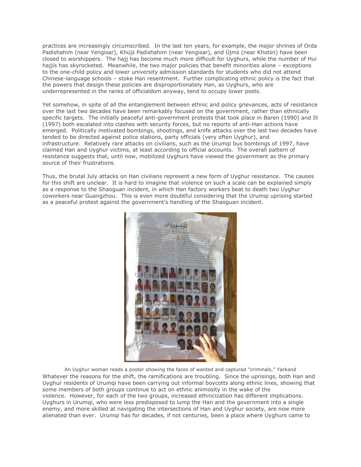practices are increasingly circumscribed. In the last ten years, for example, the major shrines of Orda Padishahim (near Yengisar), Khüjӑ Padishahim (near Yengisar), and Üjmӑ (near Khotӑn) have been closed to worshippers. The hajj has become much more difficult for Uyghurs, while the number of Hui hajjis has skyrocketed. Meanwhile, the two major policies that benefit minorities alone – exceptions to the one-child policy and lower university admission standards for students who did not attend Chinese-language schools – stoke Han resentment. Further complicating ethnic policy is the fact that the powers that design these policies are disproportionately Han, as Uyghurs, who are underrepresented in the ranks of officialdom anyway, tend to occupy lower posts.

Yet somehow, in spite of all the entanglement between ethnic and policy grievances, acts of resistance over the last two decades have been remarkably focused on the government, rather than ethnically specific targets. The initially peaceful anti-government protests that took place in Baren (1990) and Ili (1997) both escalated into clashes with security forces, but no reports of anti-Han actions have emerged. Politically motivated bombings, shootings, and knife attacks over the last two decades have tended to be directed against police stations, party officials (very often Uyghur), and infrastructure. Relatively rare attacks on civilians, such as the Urumqi bus bombings of 1997, have claimed Han and Uyghur victims, at least according to official accounts. The overall pattern of resistance suggests that, until now, mobilized Uyghurs have viewed the government as the primary source of their frustrations.

Thus, the brutal July attacks on Han civilians represent a new form of Uyghur resistance. The causes for this shift are unclear. It is hard to imagine that violence on such a scale can be explained simply as a response to the Shaoguan incident, in which Han factory workers beat to death two Uyghur coworkers near Guangzhou. This is even more doubtful considering that the Urumqi uprising started as a peaceful protest against the government's handling of the Shaoguan incident.



An Uyghur woman reads a poster showing the faces of wanted and captured "criminals," Yarkand Whatever the reasons for the shift, the ramifications are troubling. Since the uprisings, both Han and Uyghur residents of Urumqi have been carrying out informal boycotts along ethnic lines, showing that some members of both groups continue to act on ethnic animosity in the wake of the violence. However, for each of the two groups, increased ethnicization has different implications. Uyghurs in Urumqi, who were less predisposed to lump the Han and the government into a single enemy, and more skilled at navigating the intersections of Han and Uyghur society, are now more alienated than ever. Urumqi has for decades, if not centuries, been a place where Uyghurs came to